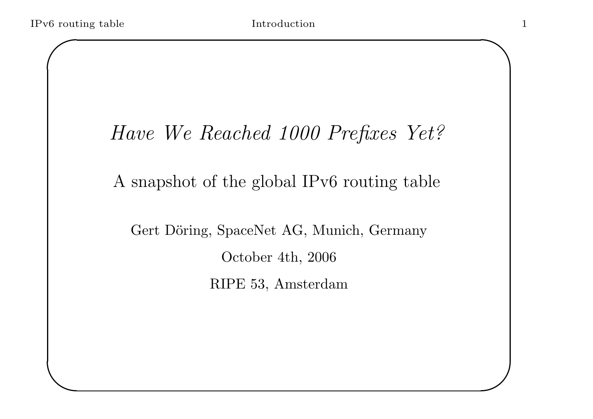$\overline{\phantom{a}}$ 

1

 $\overline{\phantom{0}}$ 

 $\overline{\phantom{a}}$ 

## Have We Reached 1000 Prefixes Yet?

#### A snapshot of the global IPv6 routing table

Gert Döring, SpaceNet AG, Munich, Germany October 4th, 2006 RIPE 53, Amsterdam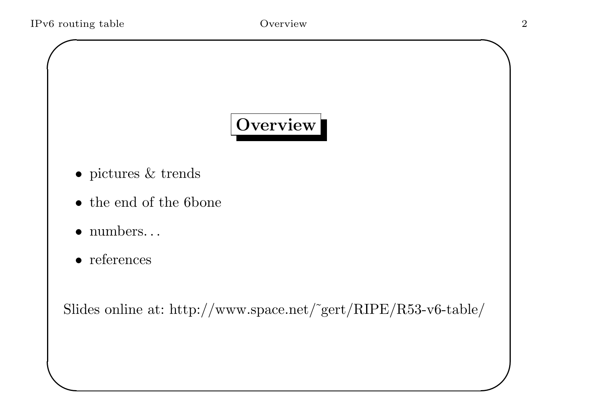## Overview

- $\bullet\,$  pictures  $\&$  trends
- the end of the 6bone
- numbers. . .
- references

 $\overline{\phantom{a}}$ 

Slides online at: http://www.space.net/˜gert/RIPE/R53-v6-table/

 $\overline{\phantom{0}}$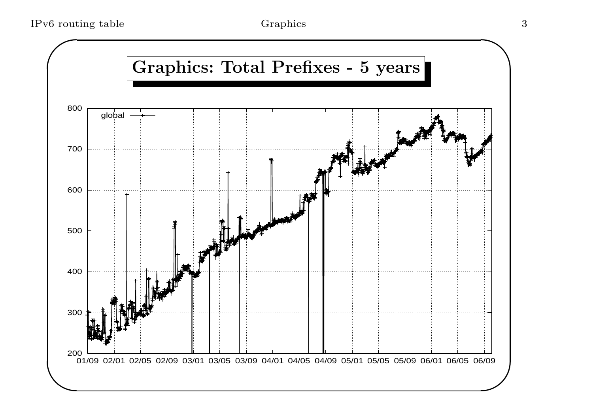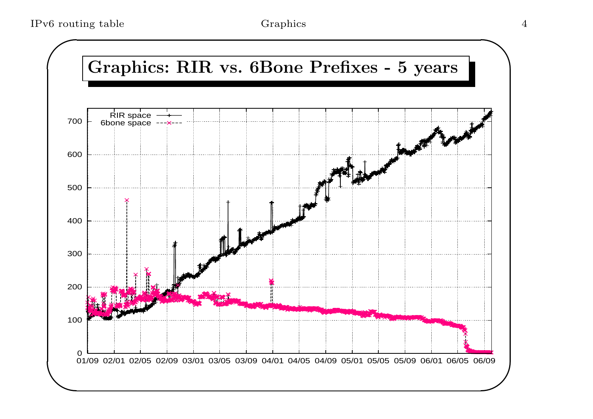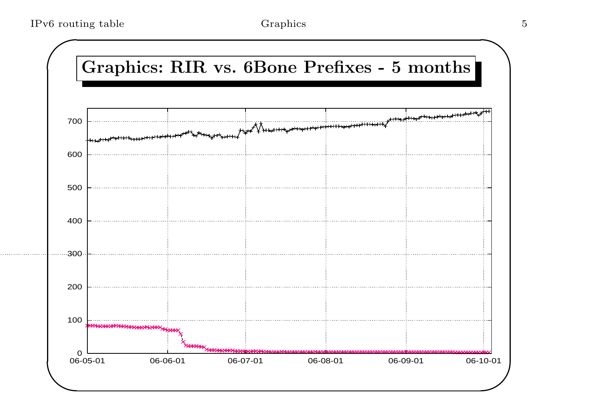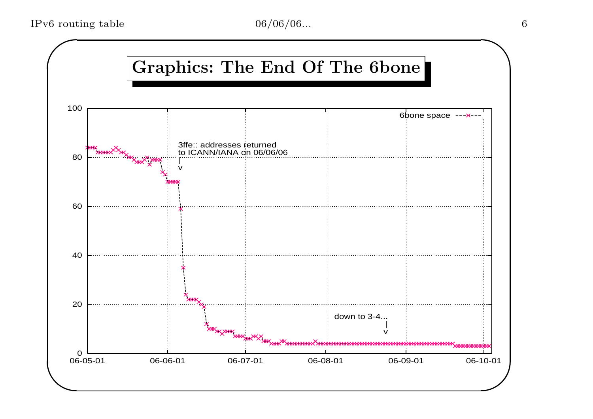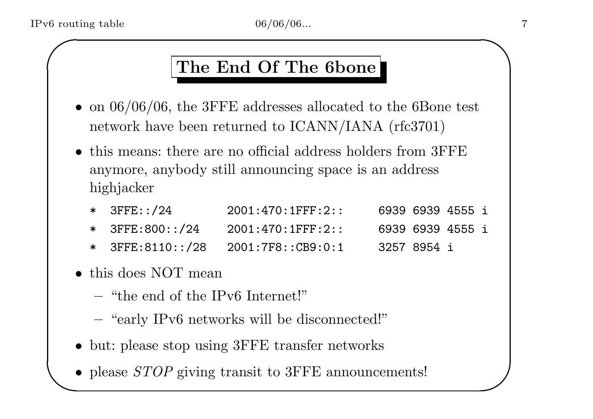#### The End Of The 6bone

- on  $06/06/06$ , the 3FFE addresses allocated to the 6Bone test network have been returned to ICANN/IANA (rfc3701)
- this means: there are no official address holders from 3FFE anymore, anybody still announcing space is an address highjacker
	- \* 3FFE::/24 2001:470:1FFF:2:: 6939 6939 4555 i \* 3FFE:800::/24 2001:470:1FFF:2:: 6939 6939 4555 i \* 3FFE:8110::/28 2001:7F8::CB9:0:1 3257 8954 i
- this does NOT mean
	- "the end of the IPv6 Internet!"
	- "early IPv6 networks will be disconnected!"
- but: please stop using 3FFE transfer networks
- $\begin{array}{c} \begin{array}{c} \end{array} \end{array}$ • please *STOP* giving transit to 3FFE announcements!

 $\overline{\phantom{0}}$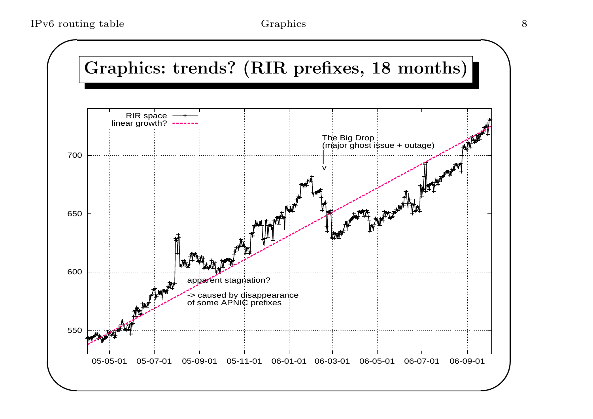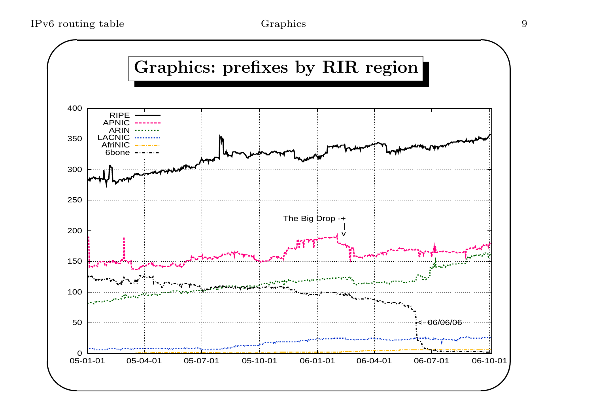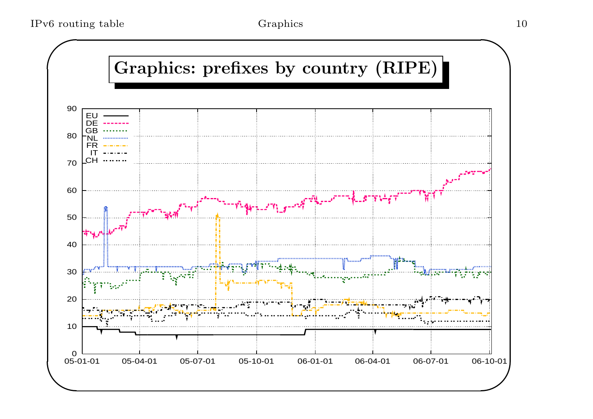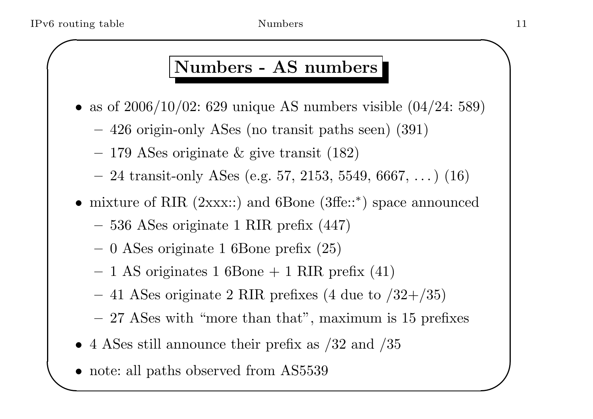# % routing table Mumbers Numbers 11 Numbers - AS numbers

- as of  $2006/10/02$ : 629 unique AS numbers visible  $(04/24: 589)$ 
	- <sup>426</sup> origin-only ASes (no transit paths seen) (391)
	- <sup>179</sup> ASes originate & <sup>g</sup>ive transit (182)
	- $-24$  transit-only ASes (e.g. 57, 2153, 5549, 6667, ...) (16)
- mixture of RIR (2xxx::) and 6Bone (3ffe:: <sup>∗</sup>) space announced
	- <sup>536</sup> ASes originate <sup>1</sup> RIR prefix (447)
	- <sup>0</sup> ASes originate <sup>1</sup> 6Bone prefix (25)
	- $-1$  AS originates 1 6Bone  $+1$  RIR prefix (41)
	- 41 ASes originate 2 RIR prefixes (4 due to  $/32+/35$ )
	- 27 ASes with "more than that", maximum is 15 prefixes
- 4 ASes still announce their prefix as  $/32$  and  $/35$
- $\begin{array}{c} \begin{array}{c} \end{array} \end{array}$ • note: all paths observed from AS5539

 $\overline{\phantom{0}}$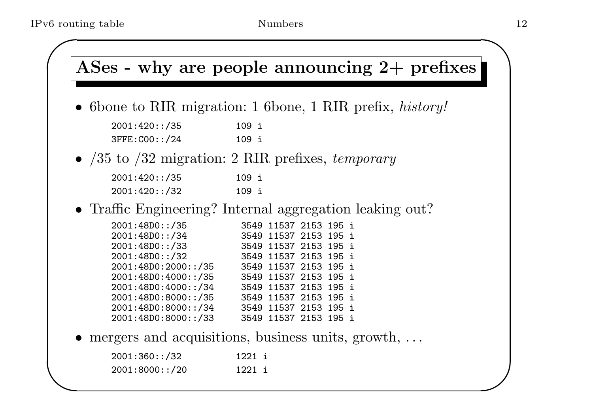|                                            | ASes - why are people announcing $2+$ prefixes               |
|--------------------------------------------|--------------------------------------------------------------|
|                                            | • 6 bone to RIR migration: 1 6 bone, 1 RIR prefix, history!  |
| 2001:420::/35                              | 109 i                                                        |
| 3FFE: COO:: /24                            | 109 i                                                        |
|                                            | • $/35$ to $/32$ migration: 2 RIR prefixes, <i>temporary</i> |
| 2001:420::/35                              | 109 i                                                        |
| 2001:420::/32                              | 109 i                                                        |
|                                            | • Traffic Engineering? Internal aggregation leaking out?     |
| 2001:48D0::/35                             | 3549 11537 2153 195 i                                        |
| 2001:48D0::/34<br>2001:48D0::/33           | 3549 11537 2153 195 i<br>3549 11537 2153 195 i               |
| 2001:48D0::/32                             | 3549 11537 2153 195 i                                        |
| 2001:48D0:2000::/35                        | 3549 11537 2153 195 i                                        |
| 2001:48D0:4000::/35<br>2001:48D0:4000::/34 | 3549 11537 2153 195 i<br>3549 11537 2153 195 i               |
| 2001:48D0:8000::/35                        | 3549 11537 2153 195 i                                        |
| 2001:48D0:8000::/34                        | 3549 11537 2153 195 i                                        |
| 2001:48D0:8000::/33                        | 3549 11537 2153 195 i                                        |
|                                            | $\bullet$ mergers and acquisitions, business units, growth,  |
| 2001:360::/32                              | 1221 i                                                       |
| 2001:8000::/20                             | 1221 i                                                       |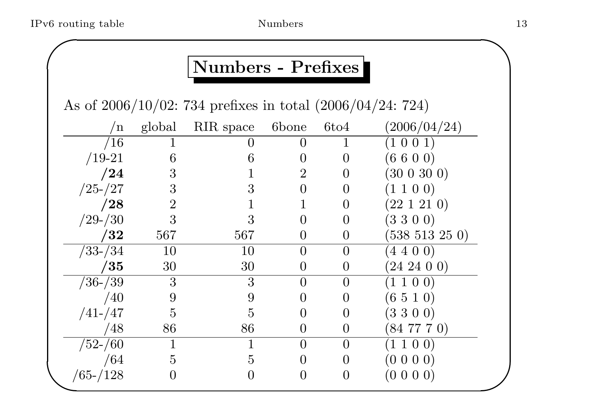# of routing table Numbers 13 Numbers - Prefixes

As of 2006/10/02: <sup>734</sup> prefixes in total (2006/04/24: 724)

| n             | global         | RIR space      | 6bone            | 6t <sub>04</sub> | (2006/04/24)        |
|---------------|----------------|----------------|------------------|------------------|---------------------|
| /16           |                |                | $\left( \right)$ | $\perp$          | (1 0 0 1)           |
| $/19-21$      | 6              | 6              | $\overline{0}$   | $\overline{0}$   | (6600)              |
| /24           | 3              |                | $\overline{2}$   | $\overline{0}$   | (300300)            |
| $/25 - /27$   | 3              | 3              | $\theta$         | $\theta$         | (1 1 0 0)           |
| /28           | $\overline{2}$ |                |                  | $\left( \right)$ | $(22\; 1\; 21\; 0)$ |
| $/29 - / 30$  | 3              | 3              |                  | $\overline{0}$   | (3300)              |
| $^{\prime}32$ | 567            | 567            | $\overline{0}$   | $\overline{0}$   | $(538\;513\;25\;0)$ |
| $/33 - / 34$  | 10             | <b>10</b>      | $\overline{0}$   | $\overline{0}$   | $(4\; 4\; 0\; 0)$   |
| $^{\prime}35$ | 30             | 30             | $\overline{0}$   | $\theta$         | $(24\;24\;0\;0)$    |
| $/36 - /39$   | 3              | 3              | $\theta$         | $\overline{0}$   | 1100                |
| /40           | 9              | 9              | $\left( \right)$ | $\theta$         | (6510)              |
| $/41 - /47$   | $\overline{5}$ | 5              | $\left( \right)$ | $\theta$         | (3300)              |
| /48           | 86             | 86             | $\overline{0}$   | $\overline{0}$   | $(84\ 77\ 7\ 0)$    |
| $/52 - / 60$  |                |                | $\theta$         | $\overline{0}$   | (1 1 0 0)           |
| /64           | $\overline{5}$ | $\overline{5}$ | $\overline{0}$   | $\overline{0}$   | (0 0 0 0)           |
| $/65 - /128$  | O              |                | $\overline{0}$   | $\overline{0}$   | $(0\; 0\; 0\; 0)$   |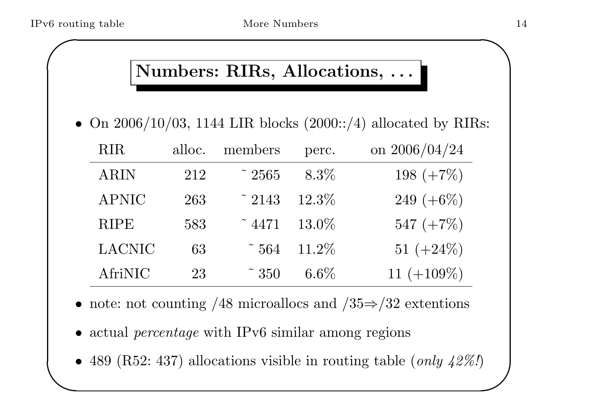# of routing table More Numbers 14 Numbers: RIRs, Allocations, ...

• On  $2006/10/03$ , 1144 LIR blocks  $(2000::/4)$  allocated by RIRs:

| <b>RIR</b>    | alloc. | members          | perc.   | on $2006/04/24$ |
|---------------|--------|------------------|---------|-----------------|
| <b>ARIN</b>   | 212    | $\degree$ 2565   | $8.3\%$ | 198 $(+7\%)$    |
| <b>APNIC</b>  | 263    | $~\tilde{}~2143$ | 12.3%   | 249 $(+6\%)$    |
| <b>RIPE</b>   | 583    | $\degree$ 4471   | 13.0%   | 547 $(+7\%)$    |
| <b>LACNIC</b> | 63     | $\tilde{ }}564$  | 11.2%   | 51 $(+24\%)$    |
| AfriNIC       | 23     | $\tilde{ }$ 350  | $6.6\%$ | 11 $(+109\%)$   |

- note: not counting /48 microallocs and  $\sqrt{35} \Rightarrow 32$  extentions
- actual *percentage* with IPv6 similar among regions
- $\begin{array}{c} \begin{array}{c} \end{array} \end{array}$  $\bigcup$ • 489 (R52: 437) allocations visible in routing table (only  $42\%$ )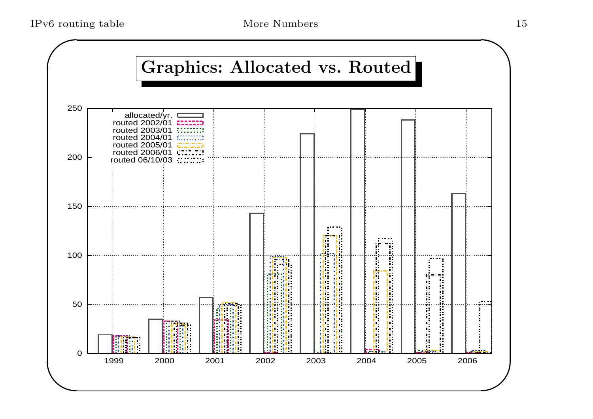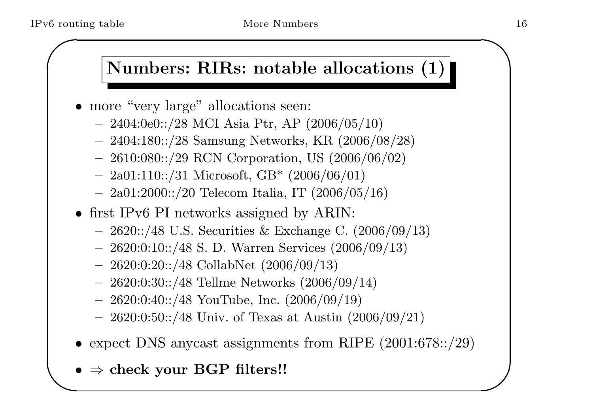# For couting table More Numbers 16 Numbers: RIRs: notable allocations (1)

- more "very large" allocations seen:
	- $-2404:0e0::/28$  MCI Asia Ptr, AP  $(2006/05/10)$
	- 2404:180::/28 Samsung Networks, KR (2006/08/28)
	- 2610:080::/29 RCN Corporation, US (2006/06/02)
	- $-$  2a01:110::/31 Microsoft, GB\* (2006/06/01)
	- $-$  2a01:2000::/20 Telecom Italia, IT (2006/05/16)
- first IPv6 PI networks assigned by ARIN:
	- 2620::/48 U.S. Securities & Exchange C. (2006/09/13)
	- $-2620:0:10::/48$  S. D. Warren Services  $(2006/09/13)$
	- $-2620:0:20::/48$  CollabNet  $(2006/09/13)$
	- 2620:0:30::/48 Tellme Networks (2006/09/14)
	- $-2620:0:40::/48$  YouTube, Inc.  $(2006/09/19)$
	- $-2620:0:50::/48$  Univ. of Texas at Austin  $(2006/09/21)$
- $\begin{array}{c} \begin{array}{c} \end{array} \end{array}$ • expect DNS anycast assignments from RIPE (2001:678::/29)
	- $\bullet \Rightarrow$  check your BGP filters!!

 $\overline{\phantom{0}}$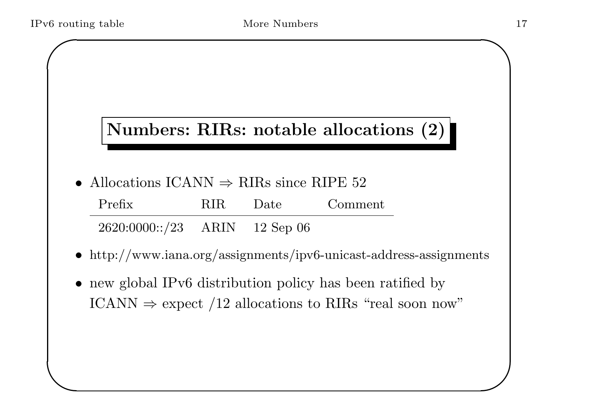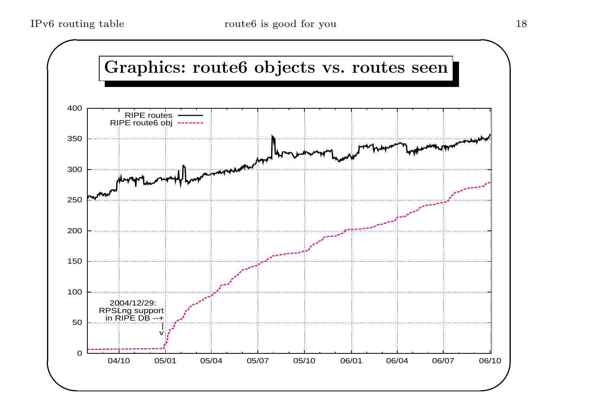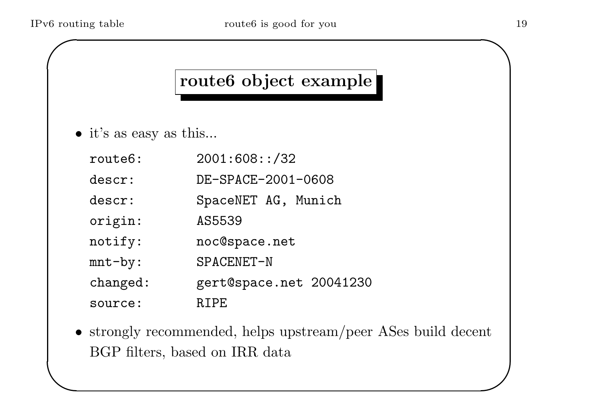#### route6 object example

- it's as easy as this...
	- route6: 2001:608::/32 descr: DE-SPACE-2001-0608 descr: SpaceNET AG, Munich origin: AS5539 notify: noc@space.net mnt-by: SPACENET-N changed: gert@space.net 20041230 source: RIPE
- $\setminus$  $\bigcup$ • strongly recommended, helps upstream/peer ASes build decent BGP filters, based on IRR data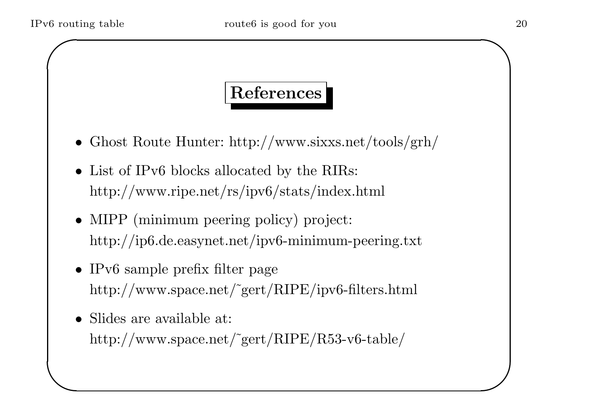### References

- Ghost Route Hunter: http://www.sixxs.net/tools/grh/
- List of IPv6 blocks allocated by the RIRs: http://www.ripe.net/rs/ipv6/stats/index.html
- MIPP (minimum peering policy) project: http://ip6.de.easynet.net/ipv6-minimum-peering.txt
- IPv6 sample prefix filter page http://www.space.net/˜gert/RIPE/ipv6-filters.html
- $\overline{\phantom{a}}$ • Slides are available at: http://www.space.net/˜gert/RIPE/R53-v6-table/

 $\overline{\phantom{0}}$